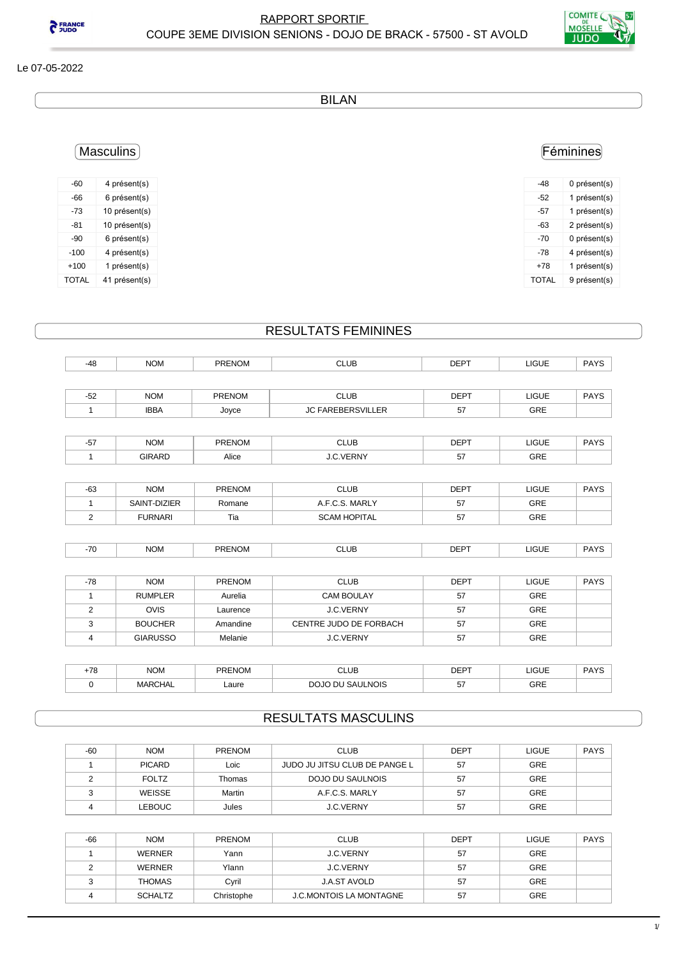

**PERANCE** 

BILAN

## Féminines

| -48   | 0 présent(s) |
|-------|--------------|
| -52   | 1 présent(s) |
| -57   | 1 présent(s) |
| -63   | 2 présent(s) |
| -70   | 0 présent(s) |
| -78   | 4 présent(s) |
| $+78$ | 1 présent(s) |
| TOTAL | 9 présent(s) |

## Masculins

| -60          | 4 présent(s)  |
|--------------|---------------|
| -66          | 6 présent(s)  |
| -73          | 10 présent(s) |
| $-81$        | 10 présent(s) |
| -90          | 6 présent(s)  |
| $-100$       | 4 présent(s)  |
| $+100$       | 1 présent(s)  |
| <b>TOTAL</b> | 41 présent(s) |

## RESULTATS FEMININES

| $-48$ | <b>NOM</b>    | <b>PRENOM</b> | <b>CLUB</b>              | <b>DEPT</b> | <b>LIGUE</b> | <b>PAYS</b> |
|-------|---------------|---------------|--------------------------|-------------|--------------|-------------|
|       |               |               |                          |             |              |             |
| $-52$ | <b>NOM</b>    | <b>PRENOM</b> | <b>CLUB</b>              | <b>DEPT</b> | <b>LIGUE</b> | <b>PAYS</b> |
|       | <b>IBBA</b>   | Joyce         | <b>JC FAREBERSVILLER</b> | 57          | <b>GRE</b>   |             |
|       |               |               |                          |             |              |             |
| $-57$ | <b>NOM</b>    | <b>PRENOM</b> | <b>CLUB</b>              | <b>DEPT</b> | <b>LIGUE</b> | <b>PAYS</b> |
|       | <b>GIRARD</b> | Alice         | J.C.VERNY                | 57          | GRE          |             |

| $-63$ | <b>NOM</b>     | <b>PRENOM</b> | CLUB                | <b>DEPT</b> | LIGUE | <b>PAYS</b> |
|-------|----------------|---------------|---------------------|-------------|-------|-------------|
|       | SAINT-DIZIER   | Romane        | A.F.C.S. MARLY      | 51          | GRE   |             |
|       | <b>FURNARI</b> | Tia           | <b>SCAM HOPITAL</b> | 51          | GRE   |             |

| <b>PRENOM</b><br><b>DEPT</b><br>$\overline{\phantom{a}}$<br><b>NOM</b><br>- 10<br>LUB.<br>.<br>$\sim$<br>$ -$ | <b>LIGUE</b><br>___ | <b>DAVC</b> |
|---------------------------------------------------------------------------------------------------------------|---------------------|-------------|

| -78 | <b>NOM</b>      | <b>PRENOM</b> | <b>CLUB</b>            | <b>DEPT</b> | <b>LIGUE</b> | <b>PAYS</b> |
|-----|-----------------|---------------|------------------------|-------------|--------------|-------------|
|     | <b>RUMPLER</b>  | Aurelia       | CAM BOULAY             | 57          | <b>GRE</b>   |             |
|     | <b>OVIS</b>     | Laurence      | <b>J.C.VERNY</b>       | 57          | <b>GRE</b>   |             |
|     | <b>BOUCHER</b>  | Amandine      | CENTRE JUDO DE FORBACH | 57          | <b>GRE</b>   |             |
|     | <b>GIARUSSO</b> | Melanie       | <b>J.C.VERNY</b>       | 57          | <b>GRE</b>   |             |

| 70 | <b>NOM</b>     | <b>PRENOM</b> | <b>CLUB</b>                                             | <b>DEPT</b> | <b>LIGUE</b> | <b>PAYS</b> |
|----|----------------|---------------|---------------------------------------------------------|-------------|--------------|-------------|
|    | <b>MARCHAL</b> | Laure<br>.    | <b>SAULNOIS</b><br>$\sim$ $\sim$<br>$\sim$<br><b>DI</b> | --<br>יש    | GRE          |             |

## RESULTATS MASCULINS

| $-60$ | <b>NOM</b>    | <b>PRENOM</b> | <b>CLUB</b>                   | <b>DEPT</b> | LIGUE      | <b>PAYS</b> |
|-------|---------------|---------------|-------------------------------|-------------|------------|-------------|
|       | <b>PICARD</b> | Loic          | JUDO JU JITSU CLUB DE PANGE L | 57          | <b>GRE</b> |             |
|       | <b>FOLTZ</b>  | Thomas        | DOJO DU SAULNOIS              | 57          | GRE        |             |
|       | WEISSE        | Martin        | A.F.C.S. MARLY                | 57          | <b>GRE</b> |             |
|       | <b>LEBOUC</b> | Jules         | <b>J.C.VERNY</b>              | 57          | <b>GRE</b> |             |

| $-66$ | <b>NOM</b>     | <b>PRENOM</b> | <b>CLUB</b>                    | <b>DEPT</b> | <b>LIGUE</b> | <b>PAYS</b> |
|-------|----------------|---------------|--------------------------------|-------------|--------------|-------------|
|       | <b>WERNER</b>  | Yann          | <b>J.C.VERNY</b>               | 57          | <b>GRE</b>   |             |
|       | <b>WERNER</b>  | Ylann         | J.C.VERNY                      | 57          | <b>GRE</b>   |             |
|       | <b>THOMAS</b>  | Cyril         | J.A.ST AVOLD                   | 57          | <b>GRE</b>   |             |
|       | <b>SCHALTZ</b> | Christophe    | <b>J.C.MONTOIS LA MONTAGNE</b> | 57          | <b>GRE</b>   |             |
|       |                |               |                                |             |              |             |